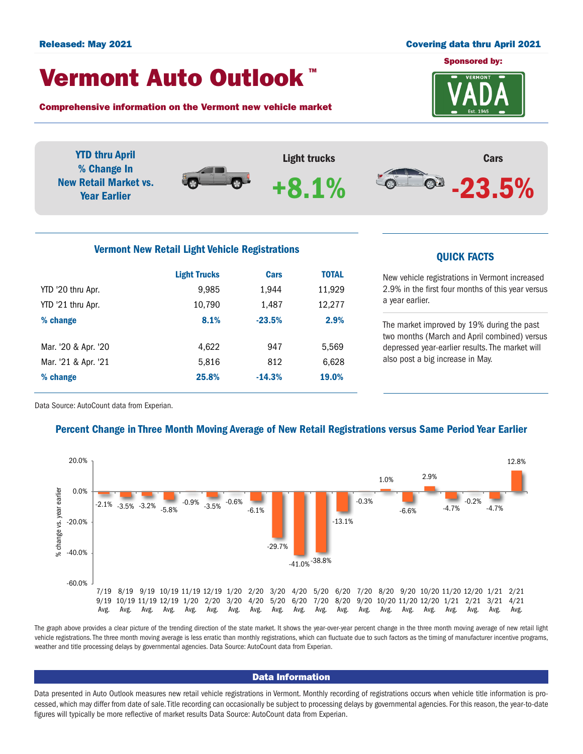#### Released: May 2021 Covering data thru April 2021

# Vermont Auto Outlook TM

Comprehensive information on the Vermont new vehicle market

Mar. '21 & Apr. '21 6,628 % change 25.8% -14.3% 19.0%



also post a big increase in May.



Data Source: AutoCount data from Experian.

## Percent Change in Three Month Moving Average of New Retail Registrations versus Same Period Year Earlier



The graph above provides a clear picture of the trending direction of the state market. It shows the year-over-year percent change in the three month moving average of new retail light vehicle registrations. The three month moving average is less erratic than monthly registrations, which can fluctuate due to such factors as the timing of manufacturer incentive programs, weather and title processing delays by governmental agencies. Data Source: AutoCount data from Experian.

### Data Information

Data presented in Auto Outlook measures new retail vehicle registrations in Vermont. Monthly recording of registrations occurs when vehicle title information is processed, which may differ from date of sale. Title recording can occasionally be subject to processing delays by governmental agencies. For this reason, the year-to-date figures will typically be more reflective of market results Data Source: AutoCount data from Experian.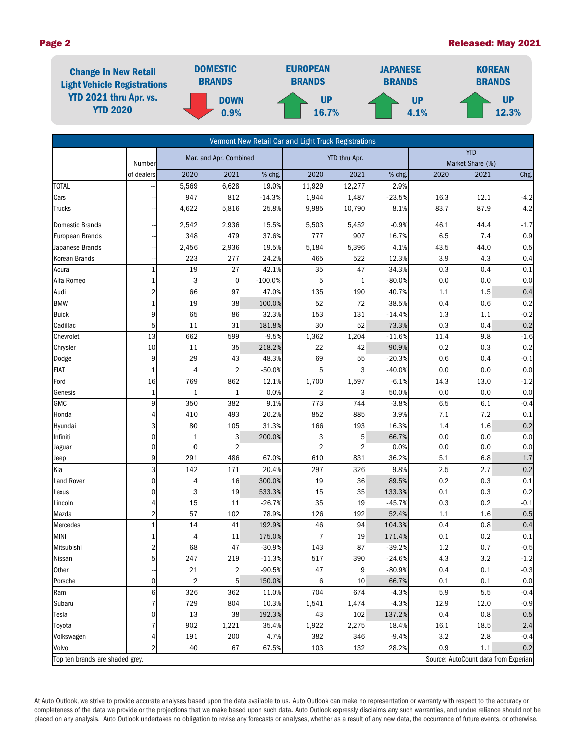### Page 2 **Page 2 Released: May 2021**

| <b>Change in New Retail</b><br><b>Light Vehicle Registrations</b><br><b>YTD 2021 thru Apr. vs.</b><br><b>YTD 2020</b> | <b>DOMESTIC</b><br><b>BRANDS</b> | <b>EUROPEAN</b><br><b>BRANDS</b> | <b>JAPANESE</b><br><b>BRANDS</b> | <b>KOREAN</b><br><b>BRANDS</b> |  |
|-----------------------------------------------------------------------------------------------------------------------|----------------------------------|----------------------------------|----------------------------------|--------------------------------|--|
|                                                                                                                       | <b>DOWN</b><br>0.9%              | <b>UP</b><br><b>16.7%</b>        | UP<br>4.1%                       | UP<br>12.3%                    |  |

| Vermont New Retail Car and Light Truck Registrations                    |                |                        |                         |                   |                |                 |                |      |                  |         |  |
|-------------------------------------------------------------------------|----------------|------------------------|-------------------------|-------------------|----------------|-----------------|----------------|------|------------------|---------|--|
|                                                                         |                | Mar. and Apr. Combined |                         | YTD thru Apr.     |                | <b>YTD</b>      |                |      |                  |         |  |
|                                                                         | Number         |                        |                         |                   |                |                 |                |      | Market Share (%) |         |  |
| <b>TOTAL</b>                                                            | of dealers     | 2020                   | 2021                    | % chg.            | 2020           | 2021            | % chg.<br>2.9% | 2020 | 2021             | Chg.    |  |
| Cars                                                                    |                | 5,569<br>947           | 6,628<br>812            | 19.0%<br>$-14.3%$ | 11,929         | 12,277<br>1,487 | $-23.5%$       | 16.3 | 12.1             | $-4.2$  |  |
|                                                                         |                | 4,622                  | 5,816                   | 25.8%             | 1,944          |                 | 8.1%           | 83.7 | 87.9             | 4.2     |  |
| <b>Trucks</b>                                                           |                |                        |                         |                   | 9,985          | 10,790          |                |      |                  |         |  |
| <b>Domestic Brands</b>                                                  |                | 2,542                  | 2,936                   | 15.5%             | 5,503          | 5,452           | $-0.9%$        | 46.1 | 44.4             | $-1.7$  |  |
| <b>European Brands</b>                                                  |                | 348                    | 479                     | 37.6%             | 777            | 907             | 16.7%          | 6.5  | 7.4              | $0.9\,$ |  |
| Japanese Brands                                                         |                | 2,456                  | 2,936                   | 19.5%             | 5,184          | 5,396           | 4.1%           | 43.5 | 44.0             | 0.5     |  |
| Korean Brands                                                           |                | 223                    | 277                     | 24.2%             | 465            | 522             | 12.3%          | 3.9  | 4.3              | 0.4     |  |
| Acura                                                                   | $\mathbf{1}$   | 19                     | 27                      | 42.1%             | 35             | 47              | 34.3%          | 0.3  | 0.4              | 0.1     |  |
| Alfa Romeo                                                              | 1              | 3                      | $\mathbf 0$             | $-100.0%$         | 5              | $\mathbf{1}$    | $-80.0%$       | 0.0  | 0.0              | 0.0     |  |
| Audi                                                                    | 2              | 66                     | 97                      | 47.0%             | 135            | 190             | 40.7%          | 1.1  | 1.5              | 0.4     |  |
| <b>BMW</b>                                                              |                | 19                     | 38                      | 100.0%            | 52             | 72              | 38.5%          | 0.4  | 0.6              | 0.2     |  |
| <b>Buick</b>                                                            | 9              | 65                     | 86                      | 32.3%             | 153            | 131             | $-14.4%$       | 1.3  | 1.1              | $-0.2$  |  |
| Cadillac                                                                | 5              | 11                     | 31                      | 181.8%            | 30             | 52              | 73.3%          | 0.3  | 0.4              | 0.2     |  |
| Chevrolet                                                               | 13             | 662                    | 599                     | $-9.5%$           | 1,362          | 1,204           | $-11.6%$       | 11.4 | 9.8              | $-1.6$  |  |
| Chrysler                                                                | 10             | 11                     | 35                      | 218.2%            | 22             | 42              | 90.9%          | 0.2  | 0.3              | 0.2     |  |
| Dodge                                                                   | 9              | 29                     | 43                      | 48.3%             | 69             | 55              | $-20.3%$       | 0.6  | 0.4              | $-0.1$  |  |
| <b>FIAT</b>                                                             |                | 4                      | $\overline{2}$          | $-50.0%$          | 5              | 3               | $-40.0%$       | 0.0  | 0.0              | 0.0     |  |
| Ford                                                                    | 16             | 769                    | 862                     | 12.1%             | 1,700          | 1,597           | $-6.1%$        | 14.3 | 13.0             | $-1.2$  |  |
| Genesis                                                                 | 1              | $\mathbf{1}$           | 1                       | 0.0%              | 2              | 3               | 50.0%          | 0.0  | 0.0              | 0.0     |  |
| <b>GMC</b>                                                              | 9              | 350                    | 382                     | 9.1%              | 773            | 744             | $-3.8%$        | 6.5  | 6.1              | $-0.4$  |  |
| Honda                                                                   | 4              | 410                    | 493                     | 20.2%             | 852            | 885             | 3.9%           | 7.1  | 7.2              | 0.1     |  |
| Hyundai                                                                 | 3              | 80                     | 105                     | 31.3%             | 166            | 193             | 16.3%          | 1.4  | 1.6              | 0.2     |  |
| Infiniti                                                                | 0              | $\mathbf{1}$           | 3                       | 200.0%            | 3              | 5               | 66.7%          | 0.0  | 0.0              | 0.0     |  |
| Jaguar                                                                  | 0              | $\mathbf 0$            | 2                       |                   | $\overline{2}$ | $\overline{2}$  | 0.0%           | 0.0  | 0.0              | $0.0\,$ |  |
| Jeep                                                                    | 9              | 291                    | 486                     | 67.0%             | 610            | 831             | 36.2%          | 5.1  | 6.8              | 1.7     |  |
| Kia                                                                     | 3              | 142                    | 171                     | 20.4%             | 297            | 326             | 9.8%           | 2.5  | 2.7              | 0.2     |  |
| <b>Land Rover</b>                                                       | $\overline{0}$ | $\overline{4}$         | 16                      | 300.0%            | 19             | 36              | 89.5%          | 0.2  | 0.3              | $0.1\,$ |  |
| Lexus                                                                   | 0              | 3                      | 19                      | 533.3%            | 15             | 35              | 133.3%         | 0.1  | 0.3              | 0.2     |  |
| Lincoln                                                                 | 4              | 15                     | 11                      | $-26.7%$          | 35             | 19              | $-45.7%$       | 0.3  | 0.2              | $-0.1$  |  |
| Mazda                                                                   | 2              | 57                     | 102                     | 78.9%             | 126            | 192             | 52.4%          | 1.1  | 1.6              | 0.5     |  |
| Mercedes                                                                | $\mathbf{1}$   | 14                     | 41                      | 192.9%            | 46             | 94              | 104.3%         | 0.4  | 0.8              | 0.4     |  |
| <b>MINI</b>                                                             | 1              | 4                      | 11                      | 175.0%            | $\overline{7}$ | 19              | 171.4%         | 0.1  | 0.2              | 0.1     |  |
| Mitsubishi                                                              | 2              | 68                     | 47                      | $-30.9%$          | 143            | 87              | $-39.2%$       | 1.2  | 0.7              | $-0.5$  |  |
| Nissan                                                                  | 5 <sup>1</sup> | 247                    | 219                     | $-11.3%$          | 517            | 390             | $-24.6%$       | 4.3  | 3.2              | $-1.2$  |  |
| Other                                                                   |                | 21                     | $\overline{\mathbf{c}}$ | $-90.5%$          | 47             | 9               | $-80.9%$       | 0.4  | 0.1              | $-0.3$  |  |
| Porsche                                                                 | $\overline{0}$ | $\overline{2}$         | 5                       | 150.0%            | 6              | 10              | 66.7%          | 0.1  | 0.1              | 0.0     |  |
| Ram                                                                     | 6              | 326                    | 362                     | 11.0%             | 704            | 674             | $-4.3%$        | 5.9  | 5.5              | $-0.4$  |  |
| Subaru                                                                  | 7              | 729                    | 804                     | 10.3%             | 1,541          | 1,474           | $-4.3%$        | 12.9 | 12.0             | $-0.9$  |  |
| Tesla                                                                   | 0              | 13                     | 38                      | 192.3%            | 43             | 102             | 137.2%         | 0.4  | 0.8              | 0.5     |  |
| Toyota                                                                  | 7              | 902                    | 1,221                   | 35.4%             | 1,922          | 2,275           | 18.4%          | 16.1 | 18.5             | 2.4     |  |
| Volkswagen                                                              |                | 191                    | 200                     | 4.7%              | 382            | 346             | $-9.4%$        | 3.2  | 2.8              | $-0.4$  |  |
| Volvo                                                                   | 2              | 40                     | 67                      | 67.5%             | 103            | 132             | 28.2%          | 0.9  | 1.1              | 0.2     |  |
| Top ten brands are shaded grey.<br>Source: AutoCount data from Experian |                |                        |                         |                   |                |                 |                |      |                  |         |  |

At Auto Outlook, we strive to provide accurate analyses based upon the data available to us. Auto Outlook can make no representation or warranty with respect to the accuracy or completeness of the data we provide or the projections that we make based upon such data. Auto Outlook expressly disclaims any such warranties, and undue reliance should not be placed on any analysis. Auto Outlook undertakes no obligation to revise any forecasts or analyses, whether as a result of any new data, the occurrence of future events, or otherwise.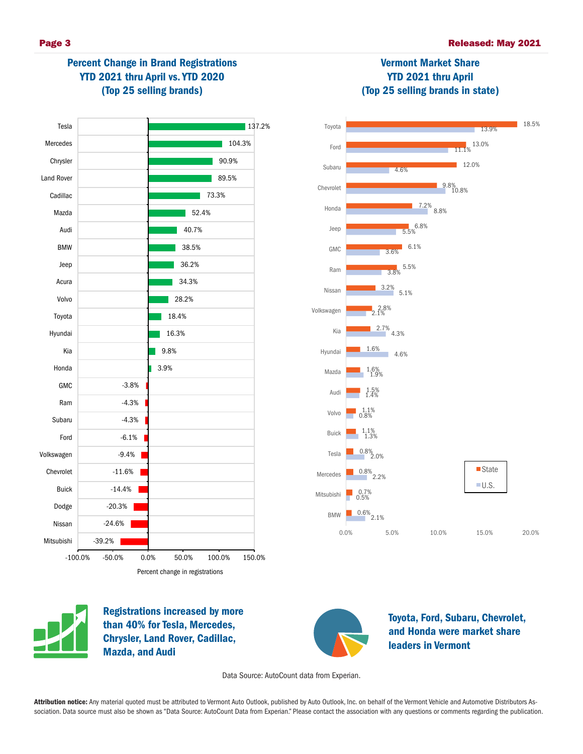



Registrations increased by more than 40% for Tesla, Mercedes, Chrysler, Land Rover, Cadillac, Mazda, and Audi



Toyota, Ford, Subaru, Chevrolet, and Honda were market share leaders in Vermont

Data Source: AutoCount data from Experian.

Attribution notice: Any material quoted must be attributed to Vermont Auto Outlook, published by Auto Outlook, Inc. on behalf of the Vermont Vehicle and Automotive Distributors Association. Data source must also be shown as "Data Source: AutoCount Data from Experian." Please contact the association with any questions or comments regarding the publication.